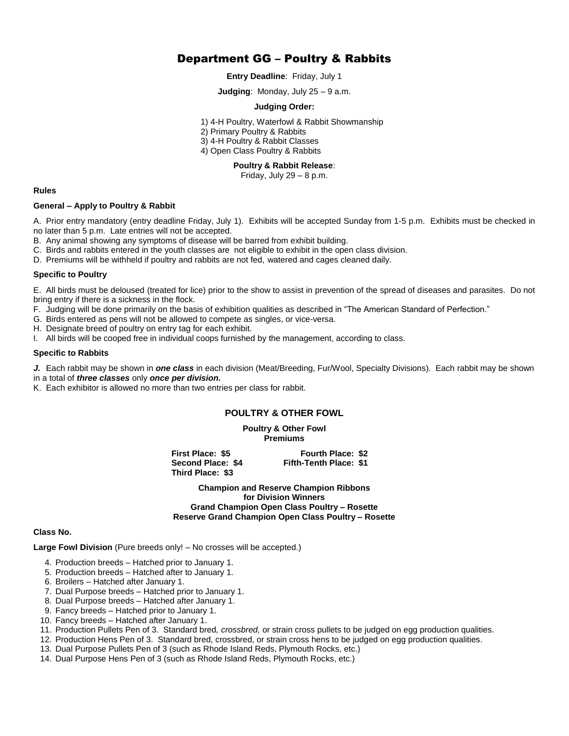# Department GG – Poultry & Rabbits

**Entry Deadline**: Friday, July 1

**Judging**: Monday, July 25 – 9 a.m.

#### **Judging Order:**

1) 4-H Poultry, Waterfowl & Rabbit Showmanship

2) Primary Poultry & Rabbits

3) 4-H Poultry & Rabbit Classes

4) Open Class Poultry & Rabbits

#### **Poultry & Rabbit Release**:

Friday, July  $29 - 8$  p.m.

#### **Rules**

#### **General – Apply to Poultry & Rabbit**

A. Prior entry mandatory (entry deadline Friday, July 1). Exhibits will be accepted Sunday from 1-5 p.m. Exhibits must be checked in no later than 5 p.m. Late entries will not be accepted.

B. Any animal showing any symptoms of disease will be barred from exhibit building.

C. Birds and rabbits entered in the youth classes are not eligible to exhibit in the open class division.

D. Premiums will be withheld if poultry and rabbits are not fed, watered and cages cleaned daily.

#### **Specific to Poultry**

E. All birds must be deloused (treated for lice) prior to the show to assist in prevention of the spread of diseases and parasites. Do not bring entry if there is a sickness in the flock.

F. Judging will be done primarily on the basis of exhibition qualities as described in "The American Standard of Perfection."

- G. Birds entered as pens will not be allowed to compete as singles, or vice-versa.
- H. Designate breed of poultry on entry tag for each exhibit.
- I. All birds will be cooped free in individual coops furnished by the management, according to class.

#### **Specific to Rabbits**

*J.* Each rabbit may be shown in *one class* in each division (Meat/Breeding, Fur/Wool, Specialty Divisions). Each rabbit may be shown

- in a total of *three classes* only *once per division.*
- K. Each exhibitor is allowed no more than two entries per class for rabbit.

## **POULTRY & OTHER FOWL**

**Poultry & Other Fowl Premiums**

**First Place: \$5 Fourth Place: \$2 Second Place: \$4 Fifth-Tenth Place: \$1 Third Place: \$3**

**Champion and Reserve Champion Ribbons for Division Winners Grand Champion Open Class Poultry – Rosette Reserve Grand Champion Open Class Poultry – Rosette**

### **Class No.**

**Large Fowl Division** (Pure breeds only! – No crosses will be accepted.)

- 4. Production breeds Hatched prior to January 1.
- 5. Production breeds Hatched after to January 1.
- 6. Broilers Hatched after January 1.
- 7. Dual Purpose breeds Hatched prior to January 1.
- 8. Dual Purpose breeds Hatched after January 1.
- 9. Fancy breeds Hatched prior to January 1.
- 10. Fancy breeds Hatched after January 1.
- 11. Production Pullets Pen of 3. Standard bred*, crossbred,* or strain cross pullets to be judged on egg production qualities.
- 12. Production Hens Pen of 3. Standard bred, crossbred, or strain cross hens to be judged on egg production qualities.
- 13. Dual Purpose Pullets Pen of 3 (such as Rhode Island Reds, Plymouth Rocks, etc.)
- 14. Dual Purpose Hens Pen of 3 (such as Rhode Island Reds, Plymouth Rocks, etc.)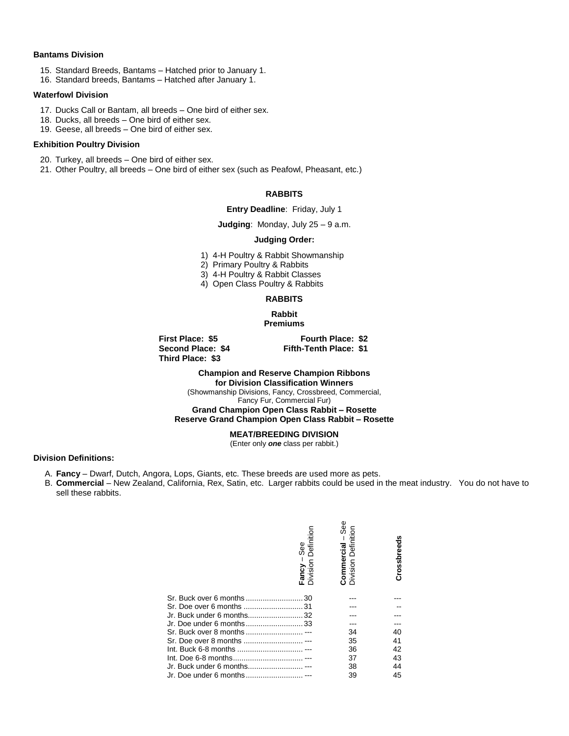#### **Bantams Division**

- 15. Standard Breeds, Bantams Hatched prior to January 1.
- 16. Standard breeds, Bantams Hatched after January 1.

## **Waterfowl Division**

- 17. Ducks Call or Bantam, all breeds One bird of either sex.
- 18. Ducks, all breeds One bird of either sex.
- 19. Geese, all breeds One bird of either sex.

## **Exhibition Poultry Division**

- 20. Turkey, all breeds One bird of either sex.
- 21. Other Poultry, all breeds One bird of either sex (such as Peafowl, Pheasant, etc.)

### **RABBITS**

#### **Entry Deadline**: Friday, July 1

**Judging**: Monday, July 25 – 9 a.m.

### **Judging Order:**

- 1) 4-H Poultry & Rabbit Showmanship
- 2) Primary Poultry & Rabbits
- 3) 4-H Poultry & Rabbit Classes
- 4) Open Class Poultry & Rabbits

## **RABBITS**

**Rabbit Premiums**

**Third Place: \$3**

**First Place: \$5 Fourth Place: \$2 Second Place: \$4 Fifth-Tenth Place: \$1**

# **Champion and Reserve Champion Ribbons**

**for Division Classification Winners** (Showmanship Divisions, Fancy, Crossbreed, Commercial,

Fancy Fur, Commercial Fur)

# **Grand Champion Open Class Rabbit – Rosette**

**Reserve Grand Champion Open Class Rabbit – Rosette**

## **MEAT/BREEDING DIVISION**

(Enter only *one* class per rabbit.)

#### **Division Definitions:**

- A. **Fancy**  Dwarf, Dutch, Angora, Lops, Giants, etc. These breeds are used more as pets.
- B. **Commercial** New Zealand, California, Rex, Satin, etc. Larger rabbits could be used in the meat industry. You do not have to sell these rabbits.

| See<br>Definition<br>Fancy –<br>Division I | See<br><b>Commercial</b> – Se<br>Division Definition | Crossbreed |
|--------------------------------------------|------------------------------------------------------|------------|
| Sr. Buck over 6 months 30                  |                                                      |            |
| Sr. Doe over 6 months 31                   |                                                      |            |
| Jr. Buck under 6 months32                  |                                                      |            |
| Jr. Doe under 6 months33                   |                                                      |            |
| Sr. Buck over 8 months ---                 | 34                                                   | 40         |
| Sr. Doe over 8 months  ---                 | 35                                                   | 41         |
|                                            | 36                                                   | 42         |
|                                            | 37                                                   | 43         |
| Jr. Buck under 6 months---                 | 38                                                   | 44         |
| Jr. Doe under 6 months---                  | 39                                                   | 45         |